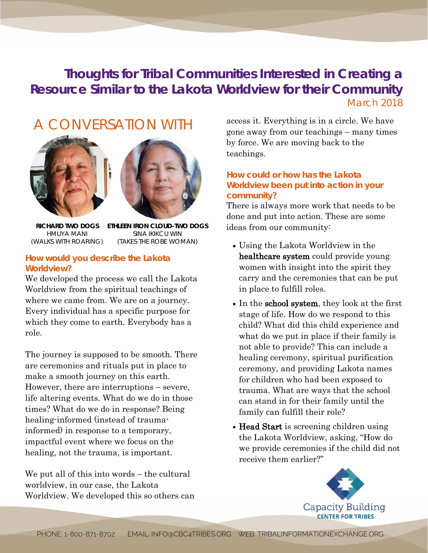## **Thoughts for Tribal Communities Interested in Creating a Resource Similar to the Lakota Worldview for their Community** *March 2018*

# A CONVERSATION WITH





**RICHARD TWO DOGS** HMUYA MANI (WALKS WITH ROARING)

**ETHLEEN IRON CLOUD-TWO DOGS** SINA IKIKCU WIN (TAKES THE ROBE WOMAN)

### **How would you describe the Lakota Worldview?**

We developed the process we call the Lakota Worldview from the spiritual teachings of where we came from. We are on a journey. Every individual has a specific purpose for which they come to earth. Everybody has a role.

The journey is supposed to be smooth. There are ceremonies and rituals put in place to make a smooth journey on this earth. However, there are interruptions – severe, life altering events. What do we do in those times? What do we do in response? Being healing-informed (instead of traumainformed) in response to a temporary, impactful event where we focus on the healing, not the trauma, is important.

We put all of this into words – the cultural worldview, in our case, the Lakota Worldview. We developed this so others can access it. Everything is in a circle. We have gone away from our teachings – many times by force. We are moving back to the teachings.

## **How could or how has the Lakota Worldview been put into action in your community?**

There is always more work that needs to be done and put into action. These are some ideas from our community:

- Using the Lakota Worldview in the healthcare system could provide young women with insight into the spirit they carry and the ceremonies that can be put in place to fulfill roles.
- In the school system, they look at the first stage of life. How do we respond to this child? What did this child experience and what do we put in place if their family is not able to provide? This can include a healing ceremony, spiritual purification ceremony, and providing Lakota names for children who had been exposed to trauma. What are ways that the school can stand in for their family until the family can fulfill their role?
- Head Start is screening children using the Lakota Worldview, asking, "How do we provide ceremonies if the child did not receive them earlier?"

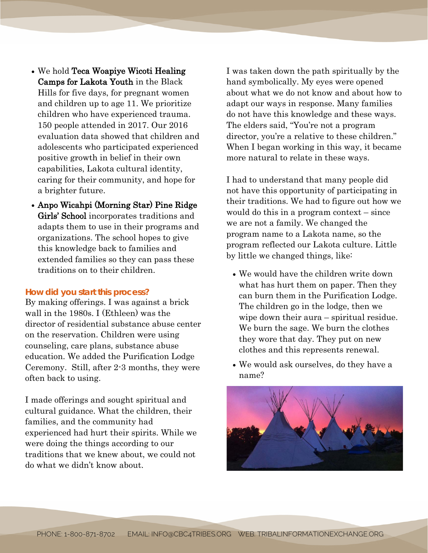- We hold Teca Woapiye Wicoti Healing Camps for Lakota Youth in the Black Hills for five days, for pregnant women and children up to age 11. We prioritize children who have experienced trauma. 150 people attended in 2017. Our 2016 evaluation data showed that children and adolescents who participated experienced positive growth in belief in their own capabilities, Lakota cultural identity, caring for their community, and hope for a brighter future.
- Anpo Wicahpi (Morning Star) Pine Ridge Girls' School incorporates traditions and adapts them to use in their programs and organizations. The school hopes to give this knowledge back to families and extended families so they can pass these traditions on to their children.

#### **How did you start this process?**

By making offerings. I was against a brick wall in the 1980s. I (Ethleen) was the director of residential substance abuse center on the reservation. Children were using counseling, care plans, substance abuse education. We added the Purification Lodge Ceremony. Still, after 2-3 months, they were often back to using.

I made offerings and sought spiritual and cultural guidance. What the children, their families, and the community had experienced had hurt their spirits. While we were doing the things according to our traditions that we knew about, we could not do what we didn't know about.

I was taken down the path spiritually by the hand symbolically. My eyes were opened about what we do not know and about how to adapt our ways in response. Many families do not have this knowledge and these ways. The elders said, "You're not a program director, you're a relative to these children." When I began working in this way, it became more natural to relate in these ways.

I had to understand that many people did not have this opportunity of participating in their traditions. We had to figure out how we would do this in a program context – since we are not a family. We changed the program name to a Lakota name, so the program reflected our Lakota culture. Little by little we changed things, like:

- We would have the children write down what has hurt them on paper. Then they can burn them in the Purification Lodge. The children go in the lodge, then we wipe down their aura – spiritual residue. We burn the sage. We burn the clothes they wore that day. They put on new clothes and this represents renewal.
- We would ask ourselves, do they have a name?